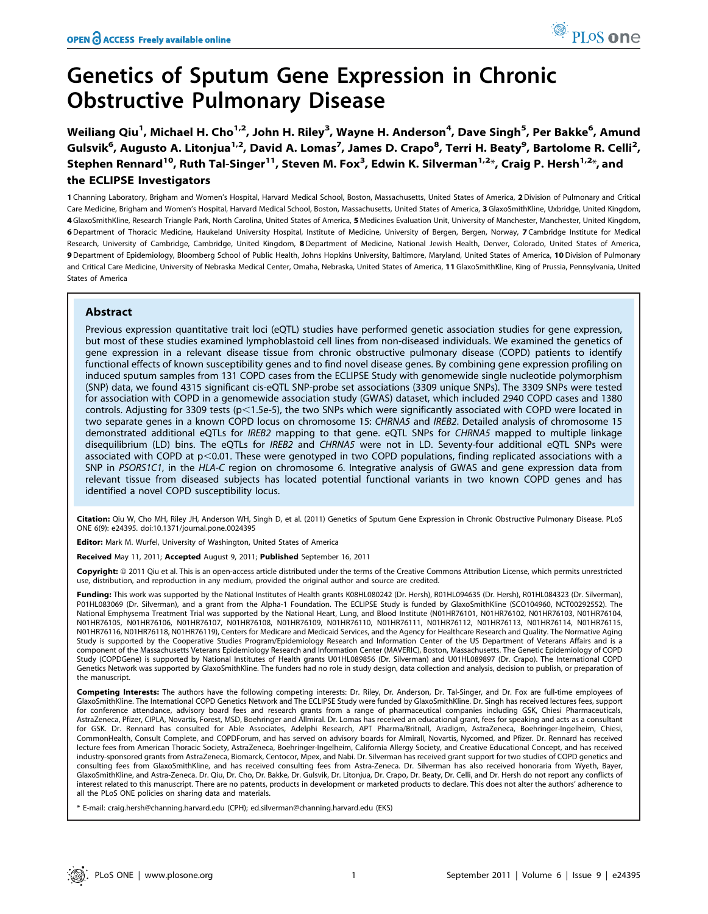Weiliang Qiu<sup>1</sup>, Michael H. Cho<sup>1,2</sup>, John H. Riley<sup>3</sup>, Wayne H. Anderson<sup>4</sup>, Dave Singh<sup>5</sup>, Per Bakke<sup>6</sup>, Amund Gulsvik<sup>6</sup>, Augusto A. Litonjua<sup>1,2</sup>, David A. Lomas<sup>7</sup>, James D. Crapo<sup>8</sup>, Terri H. Beaty<sup>9</sup>, Bartolome R. Celli<sup>2</sup>, Stephen Rennard<sup>10</sup>, Ruth Tal-Singer<sup>11</sup>, Steven M. Fox<sup>3</sup>, Edwin K. Silverman<sup>1,2</sup>\*, Craig P. Hersh<sup>1,2</sup>\*, and the ECLIPSE Investigators

1 Channing Laboratory, Brigham and Women's Hospital, Harvard Medical School, Boston, Massachusetts, United States of America, 2 Division of Pulmonary and Critical Care Medicine, Brigham and Women's Hospital, Harvard Medical School, Boston, Massachusetts, United States of America, 3 GlaxoSmithKline, Uxbridge, United Kingdom, 4 GlaxoSmithKline, Research Triangle Park, North Carolina, United States of America, 5 Medicines Evaluation Unit, University of Manchester, Manchester, United Kingdom, 6 Department of Thoracic Medicine, Haukeland University Hospital, Institute of Medicine, University of Bergen, Bergen, Norway, 7 Cambridge Institute for Medical Research, University of Cambridge, Cambridge, United Kingdom, 8 Department of Medicine, National Jewish Health, Denver, Colorado, United States of America, 9 Department of Epidemiology, Bloomberg School of Public Health, Johns Hopkins University, Baltimore, Maryland, United States of America, 10 Division of Pulmonary and Critical Care Medicine, University of Nebraska Medical Center, Omaha, Nebraska, United States of America, 11 GlaxoSmithKline, King of Prussia, Pennsylvania, United States of America

# Abstract

Previous expression quantitative trait loci (eQTL) studies have performed genetic association studies for gene expression, but most of these studies examined lymphoblastoid cell lines from non-diseased individuals. We examined the genetics of gene expression in a relevant disease tissue from chronic obstructive pulmonary disease (COPD) patients to identify functional effects of known susceptibility genes and to find novel disease genes. By combining gene expression profiling on induced sputum samples from 131 COPD cases from the ECLIPSE Study with genomewide single nucleotide polymorphism (SNP) data, we found 4315 significant cis-eQTL SNP-probe set associations (3309 unique SNPs). The 3309 SNPs were tested for association with COPD in a genomewide association study (GWAS) dataset, which included 2940 COPD cases and 1380 controls. Adjusting for 3309 tests (p<1.5e-5), the two SNPs which were significantly associated with COPD were located in two separate genes in a known COPD locus on chromosome 15: CHRNA5 and IREB2. Detailed analysis of chromosome 15 demonstrated additional eQTLs for IREB2 mapping to that gene. eQTL SNPs for CHRNA5 mapped to multiple linkage disequilibrium (LD) bins. The eQTLs for IREB2 and CHRNA5 were not in LD. Seventy-four additional eQTL SNPs were associated with COPD at  $p<0.01$ . These were genotyped in two COPD populations, finding replicated associations with a SNP in PSORS1C1, in the HLA-C region on chromosome 6. Integrative analysis of GWAS and gene expression data from relevant tissue from diseased subjects has located potential functional variants in two known COPD genes and has identified a novel COPD susceptibility locus.

Citation: Qiu W, Cho MH, Riley JH, Anderson WH, Singh D, et al. (2011) Genetics of Sputum Gene Expression in Chronic Obstructive Pulmonary Disease. PLoS ONE 6(9): e24395. doi:10.1371/journal.pone.0024395

Editor: Mark M. Wurfel, University of Washington, United States of America

Received May 11, 2011; Accepted August 9, 2011; Published September 16, 2011

Copyright: © 2011 Qiu et al. This is an open-access article distributed under the terms of the Creative Commons Attribution License, which permits unrestricted use, distribution, and reproduction in any medium, provided the original author and source are credited.

Funding: This work was supported by the National Institutes of Health grants K08HL080242 (Dr. Hersh), R01HL094635 (Dr. Hersh), R01HL084323 (Dr. Silverman), P01HL083069 (Dr. Silverman), and a grant from the Alpha-1 Foundation. The ECLIPSE Study is funded by GlaxoSmithKline (SCO104960, NCT00292552). The National Emphysema Treatment Trial was supported by the National Heart, Lung, and Blood Institute (N01HR76101, N01HR76102, N01HR76103, N01HR76104, N01HR76105, N01HR76106, N01HR76107, N01HR76108, N01HR76109, N01HR76110, N01HR76111, N01HR76112, N01HR76113, N01HR76114, N01HR76115, N01HR76116, N01HR76118, N01HR76119), Centers for Medicare and Medicaid Services, and the Agency for Healthcare Research and Quality. The Normative Aging Study is supported by the Cooperative Studies Program/Epidemiology Research and Information Center of the US Department of Veterans Affairs and is a component of the Massachusetts Veterans Epidemiology Research and Information Center (MAVERIC), Boston, Massachusetts. The Genetic Epidemiology of COPD Study (COPDGene) is supported by National Institutes of Health grants U01HL089856 (Dr. Silverman) and U01HL089897 (Dr. Crapo). The International COPD Genetics Network was supported by GlaxoSmithKline. The funders had no role in study design, data collection and analysis, decision to publish, or preparation of the manuscript.

Competing Interests: The authors have the following competing interests: Dr. Riley, Dr. Anderson, Dr. Tal-Singer, and Dr. Fox are full-time employees of GlaxoSmithKline. The International COPD Genetics Network and The ECLIPSE Study were funded by GlaxoSmithKline. Dr. Singh has received lectures fees, support for conference attendance, advisory board fees and research grants from a range of pharmaceutical companies including GSK, Chiesi Pharmaceuticals, AstraZeneca, Pfizer, CIPLA, Novartis, Forest, MSD, Boehringer and Allmiral. Dr. Lomas has received an educational grant, fees for speaking and acts as a consultant for GSK. Dr. Rennard has consulted for Able Associates, Adelphi Research, APT Pharma/Britnall, Aradigm, AstraZeneca, Boehringer-Ingelheim, Chiesi, CommonHealth, Consult Complete, and COPDForum, and has served on advisory boards for Almirall, Novartis, Nycomed, and Pfizer. Dr. Rennard has received lecture fees from American Thoracic Society, AstraZeneca, Boehringer-Ingelheim, California Allergy Society, and Creative Educational Concept, and has received industry-sponsored grants from AstraZeneca, Biomarck, Centocor, Mpex, and Nabi. Dr. Silverman has received grant support for two studies of COPD genetics and consulting fees from GlaxoSmithKline, and has received consulting fees from Astra-Zeneca. Dr. Silverman has also received honoraria from Wyeth, Bayer, GlaxoSmithKline, and Astra-Zeneca. Dr. Qiu, Dr. Cho, Dr. Bakke, Dr. Gulsvik, Dr. Litonjua, Dr. Crapo, Dr. Beaty, Dr. Celli, and Dr. Hersh do not report any conflicts of interest related to this manuscript. There are no patents, products in development or marketed products to declare. This does not alter the authors' adherence to all the PLoS ONE policies on sharing data and materials.

\* E-mail: craig.hersh@channing.harvard.edu (CPH); ed.silverman@channing.harvard.edu (EKS)

 $PIOS$  one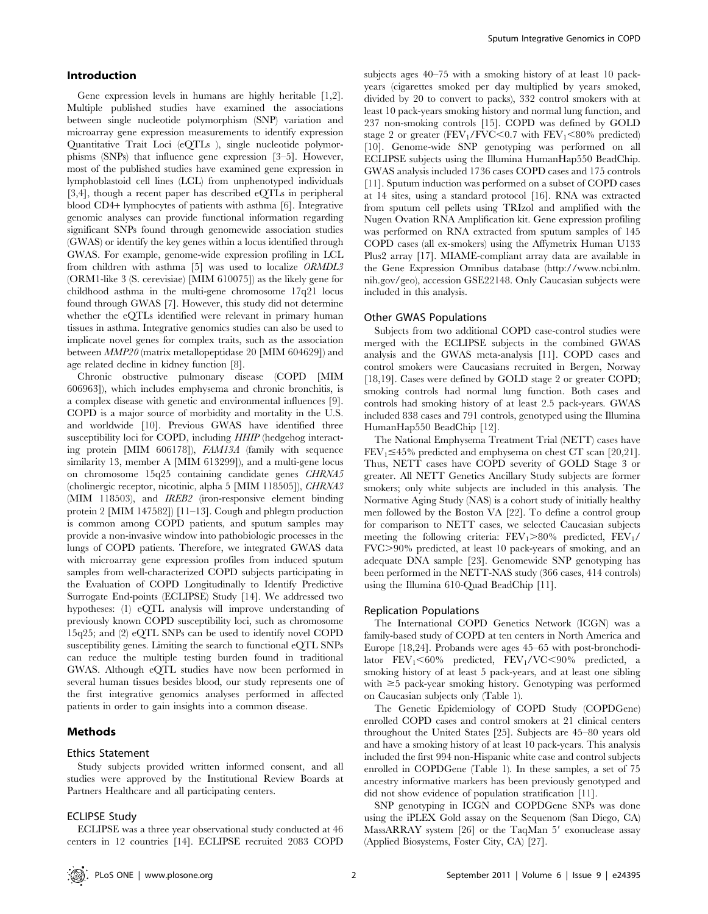# Introduction

Gene expression levels in humans are highly heritable [1,2]. Multiple published studies have examined the associations between single nucleotide polymorphism (SNP) variation and microarray gene expression measurements to identify expression Quantitative Trait Loci (eQTLs ), single nucleotide polymorphisms (SNPs) that influence gene expression [3–5]. However, most of the published studies have examined gene expression in lymphoblastoid cell lines (LCL) from unphenotyped individuals [3,4], though a recent paper has described eQTLs in peripheral blood CD4+ lymphocytes of patients with asthma [6]. Integrative genomic analyses can provide functional information regarding significant SNPs found through genomewide association studies (GWAS) or identify the key genes within a locus identified through GWAS. For example, genome-wide expression profiling in LCL from children with asthma [5] was used to localize ORMDL3 (ORM1-like 3 (S. cerevisiae) [MIM 610075]) as the likely gene for childhood asthma in the multi-gene chromosome 17q21 locus found through GWAS [7]. However, this study did not determine whether the eQTLs identified were relevant in primary human tissues in asthma. Integrative genomics studies can also be used to implicate novel genes for complex traits, such as the association between MMP20 (matrix metallopeptidase 20 [MIM 604629]) and age related decline in kidney function [8].

Chronic obstructive pulmonary disease (COPD [MIM 606963]), which includes emphysema and chronic bronchitis, is a complex disease with genetic and environmental influences [9]. COPD is a major source of morbidity and mortality in the U.S. and worldwide [10]. Previous GWAS have identified three susceptibility loci for COPD, including HHIP (hedgehog interacting protein [MIM 606178]), FAM13A (family with sequence similarity 13, member A [MIM 613299]), and a multi-gene locus on chromosome 15q25 containing candidate genes CHRNA5 (cholinergic receptor, nicotinic, alpha 5 [MIM 118505]), CHRNA3 (MIM 118503), and IREB2 (iron-responsive element binding protein 2 [MIM 147582]) [11–13]. Cough and phlegm production is common among COPD patients, and sputum samples may provide a non-invasive window into pathobiologic processes in the lungs of COPD patients. Therefore, we integrated GWAS data with microarray gene expression profiles from induced sputum samples from well-characterized COPD subjects participating in the Evaluation of COPD Longitudinally to Identify Predictive Surrogate End-points (ECLIPSE) Study [14]. We addressed two hypotheses: (1) eQTL analysis will improve understanding of previously known COPD susceptibility loci, such as chromosome 15q25; and (2) eQTL SNPs can be used to identify novel COPD susceptibility genes. Limiting the search to functional eQTL SNPs can reduce the multiple testing burden found in traditional GWAS. Although eQTL studies have now been performed in several human tissues besides blood, our study represents one of the first integrative genomics analyses performed in affected patients in order to gain insights into a common disease.

# Methods

### Ethics Statement

Study subjects provided written informed consent, and all studies were approved by the Institutional Review Boards at Partners Healthcare and all participating centers.

### ECLIPSE Study

subjects ages 40–75 with a smoking history of at least 10 packyears (cigarettes smoked per day multiplied by years smoked, divided by 20 to convert to packs), 332 control smokers with at least 10 pack-years smoking history and normal lung function, and 237 non-smoking controls [15]. COPD was defined by GOLD stage 2 or greater (FEV<sub>1</sub>/FVC $<$ 0.7 with FEV<sub>1</sub> $<$ 80% predicted) [10]. Genome-wide SNP genotyping was performed on all ECLIPSE subjects using the Illumina HumanHap550 BeadChip. GWAS analysis included 1736 cases COPD cases and 175 controls [11]. Sputum induction was performed on a subset of COPD cases at 14 sites, using a standard protocol [16]. RNA was extracted from sputum cell pellets using TRIzol and amplified with the Nugen Ovation RNA Amplification kit. Gene expression profiling was performed on RNA extracted from sputum samples of 145 COPD cases (all ex-smokers) using the Affymetrix Human U133 Plus2 array [17]. MIAME-compliant array data are available in the Gene Expression Omnibus database (http://www.ncbi.nlm. nih.gov/geo), accession GSE22148. Only Caucasian subjects were included in this analysis.

#### Other GWAS Populations

Subjects from two additional COPD case-control studies were merged with the ECLIPSE subjects in the combined GWAS analysis and the GWAS meta-analysis [11]. COPD cases and control smokers were Caucasians recruited in Bergen, Norway [18,19]. Cases were defined by GOLD stage 2 or greater COPD; smoking controls had normal lung function. Both cases and controls had smoking history of at least 2.5 pack-years. GWAS included 838 cases and 791 controls, genotyped using the Illumina HumanHap550 BeadChip [12].

The National Emphysema Treatment Trial (NETT) cases have  $FEV<sub>1</sub> \le 45\%$  predicted and emphysema on chest CT scan [20,21]. Thus, NETT cases have COPD severity of GOLD Stage 3 or greater. All NETT Genetics Ancillary Study subjects are former smokers; only white subjects are included in this analysis. The Normative Aging Study (NAS) is a cohort study of initially healthy men followed by the Boston VA [22]. To define a control group for comparison to NETT cases, we selected Caucasian subjects meeting the following criteria:  $\text{FEV}_1 > 80\%$  predicted,  $\text{FEV}_1$ / FVC.90% predicted, at least 10 pack-years of smoking, and an adequate DNA sample [23]. Genomewide SNP genotyping has been performed in the NETT-NAS study (366 cases, 414 controls) using the Illumina 610-Quad BeadChip [11].

### Replication Populations

The International COPD Genetics Network (ICGN) was a family-based study of COPD at ten centers in North America and Europe [18,24]. Probands were ages 45–65 with post-bronchodilator  $FEV_1 < 60\%$  predicted,  $FEV_1/VC < 90\%$  predicted, a smoking history of at least 5 pack-years, and at least one sibling with  $\geq$ 5 pack-year smoking history. Genotyping was performed on Caucasian subjects only (Table 1).

The Genetic Epidemiology of COPD Study (COPDGene) enrolled COPD cases and control smokers at 21 clinical centers throughout the United States [25]. Subjects are 45–80 years old and have a smoking history of at least 10 pack-years. This analysis included the first 994 non-Hispanic white case and control subjects enrolled in COPDGene (Table 1). In these samples, a set of 75 ancestry informative markers has been previously genotyped and did not show evidence of population stratification [11].

SNP genotyping in ICGN and COPDGene SNPs was done using the iPLEX Gold assay on the Sequenom (San Diego, CA) MassARRAY system  $[26]$  or the TaqMan  $5'$  exonuclease assay (Applied Biosystems, Foster City, CA) [27].

ECLIPSE was a three year observational study conducted at 46 centers in 12 countries [14]. ECLIPSE recruited 2083 COPD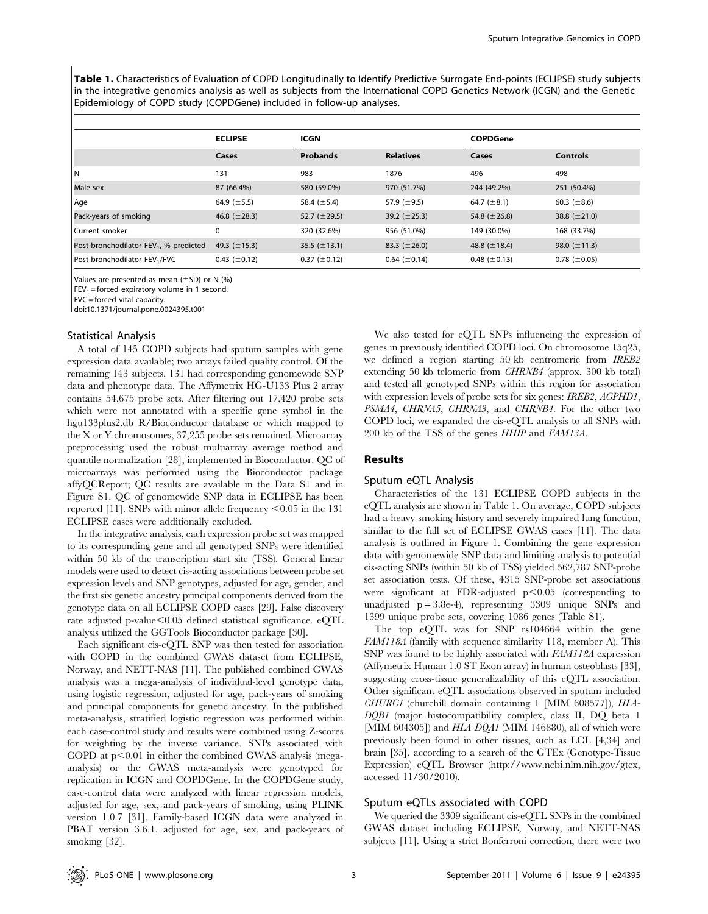Table 1. Characteristics of Evaluation of COPD Longitudinally to Identify Predictive Surrogate End-points (ECLIPSE) study subjects in the integrative genomics analysis as well as subjects from the International COPD Genetics Network (ICGN) and the Genetic Epidemiology of COPD study (COPDGene) included in follow-up analyses.

|                                                    | <b>ECLIPSE</b>     | <b>ICGN</b>       |                   | <b>COPDGene</b>   |                   |  |
|----------------------------------------------------|--------------------|-------------------|-------------------|-------------------|-------------------|--|
|                                                    | Cases              | <b>Probands</b>   | <b>Relatives</b>  | Cases             | <b>Controls</b>   |  |
| IN                                                 | 131                | 983               | 1876              | 496               | 498               |  |
| Male sex                                           | 87 (66.4%)         | 580 (59.0%)       | 970 (51.7%)       | 244 (49.2%)       | 251 (50.4%)       |  |
| Age                                                | 64.9 $(\pm 5.5)$   | 58.4 $(\pm 5.4)$  | 57.9 $(\pm 9.5)$  | 64.7 $(\pm 8.1)$  | 60.3 ( $\pm$ 8.6) |  |
| Pack-years of smoking                              | 46.8 ( $\pm$ 28.3) | 52.7 $(\pm 29.5)$ | 39.2 $(\pm 25.3)$ | 54.8 $(\pm 26.8)$ | 38.8 $(\pm 21.0)$ |  |
| Current smoker                                     | 0                  | 320 (32.6%)       | 956 (51.0%)       | 149 (30.0%)       | 168 (33.7%)       |  |
| Post-bronchodilator FEV <sub>1</sub> , % predicted | 49.3 $(\pm 15.3)$  | 35.5 $(\pm 13.1)$ | 83.3 $(\pm 26.0)$ | 48.8 $(\pm 18.4)$ | 98.0 $(\pm 11.3)$ |  |
| Post-bronchodilator FEV1/FVC                       | 0.43 $(\pm 0.12)$  | $0.37 (\pm 0.12)$ | $0.64~(\pm 0.14)$ | 0.48 $(\pm 0.13)$ | $0.78~(\pm 0.05)$ |  |

Values are presented as mean  $(\pm SD)$  or N (%).

 $FEV_1 =$  forced expiratory volume in 1 second.

FVC = forced vital capacity.

doi:10.1371/journal.pone.0024395.t001

### Statistical Analysis

A total of 145 COPD subjects had sputum samples with gene expression data available; two arrays failed quality control. Of the remaining 143 subjects, 131 had corresponding genomewide SNP data and phenotype data. The Affymetrix HG-U133 Plus 2 array contains 54,675 probe sets. After filtering out 17,420 probe sets which were not annotated with a specific gene symbol in the hgu133plus2.db R/Bioconductor database or which mapped to the X or Y chromosomes, 37,255 probe sets remained. Microarray preprocessing used the robust multiarray average method and quantile normalization [28], implemented in Bioconductor. QC of microarrays was performed using the Bioconductor package affyQCReport; QC results are available in the Data S1 and in Figure S1. QC of genomewide SNP data in ECLIPSE has been reported [11]. SNPs with minor allele frequency  $\leq 0.05$  in the 131 ECLIPSE cases were additionally excluded.

In the integrative analysis, each expression probe set was mapped to its corresponding gene and all genotyped SNPs were identified within 50 kb of the transcription start site (TSS). General linear models were used to detect cis-acting associations between probe set expression levels and SNP genotypes, adjusted for age, gender, and the first six genetic ancestry principal components derived from the genotype data on all ECLIPSE COPD cases [29]. False discovery rate adjusted p-value $< 0.05$  defined statistical significance. eQTL analysis utilized the GGTools Bioconductor package [30].

Each significant cis-eQTL SNP was then tested for association with COPD in the combined GWAS dataset from ECLIPSE, Norway, and NETT-NAS [11]. The published combined GWAS analysis was a mega-analysis of individual-level genotype data, using logistic regression, adjusted for age, pack-years of smoking and principal components for genetic ancestry. In the published meta-analysis, stratified logistic regression was performed within each case-control study and results were combined using Z-scores for weighting by the inverse variance. SNPs associated with COPD at  $p<0.01$  in either the combined GWAS analysis (megaanalysis) or the GWAS meta-analysis were genotyped for replication in ICGN and COPDGene. In the COPDGene study, case-control data were analyzed with linear regression models, adjusted for age, sex, and pack-years of smoking, using PLINK version 1.0.7 [31]. Family-based ICGN data were analyzed in PBAT version 3.6.1, adjusted for age, sex, and pack-years of smoking [32].

We also tested for eQTL SNPs influencing the expression of genes in previously identified COPD loci. On chromosome 15q25, we defined a region starting 50 kb centromeric from IREB2 extending 50 kb telomeric from CHRNB4 (approx. 300 kb total) and tested all genotyped SNPs within this region for association with expression levels of probe sets for six genes: IREB2, AGPHD1, PSMA4, CHRNA5, CHRNA3, and CHRNB4. For the other two COPD loci, we expanded the cis-eQTL analysis to all SNPs with 200 kb of the TSS of the genes HHIP and FAM13A.

# Results

#### Sputum eQTL Analysis

Characteristics of the 131 ECLIPSE COPD subjects in the eQTL analysis are shown in Table 1. On average, COPD subjects had a heavy smoking history and severely impaired lung function, similar to the full set of ECLIPSE GWAS cases [11]. The data analysis is outlined in Figure 1. Combining the gene expression data with genomewide SNP data and limiting analysis to potential cis-acting SNPs (within 50 kb of TSS) yielded 562,787 SNP-probe set association tests. Of these, 4315 SNP-probe set associations were significant at FDR-adjusted  $p<0.05$  (corresponding to unadjusted p = 3.8e-4), representing 3309 unique SNPs and 1399 unique probe sets, covering 1086 genes (Table S1).

The top eQTL was for SNP rs104664 within the gene FAM118A (family with sequence similarity 118, member A). This SNP was found to be highly associated with FAM118A expression (Affymetrix Human 1.0 ST Exon array) in human osteoblasts [33], suggesting cross-tissue generalizability of this eQTL association. Other significant eQTL associations observed in sputum included CHURC1 (churchill domain containing 1 [MIM 608577]), HLA-DQB1 (major histocompatibility complex, class II, DQ beta 1 [MIM 604305]) and  $HLA-DQA1$  (MIM 146880), all of which were previously been found in other tissues, such as LCL [4,34] and brain [35], according to a search of the GTEx (Genotype-Tissue Expression) eQTL Browser (http://www.ncbi.nlm.nih.gov/gtex, accessed 11/30/2010).

### Sputum eQTLs associated with COPD

We queried the 3309 significant cis-eQTL SNPs in the combined GWAS dataset including ECLIPSE, Norway, and NETT-NAS subjects [11]. Using a strict Bonferroni correction, there were two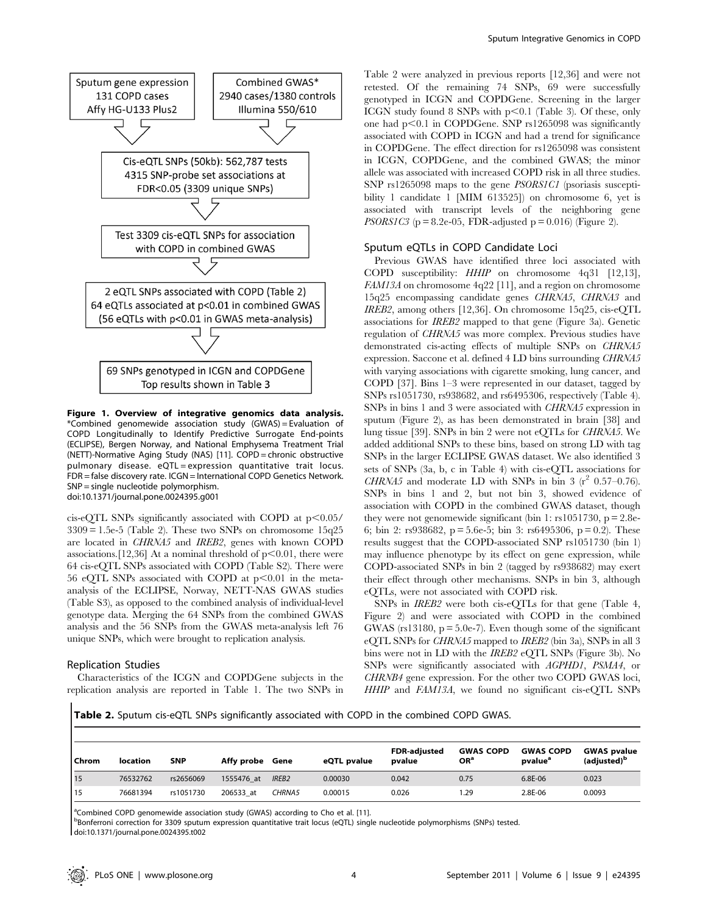

Figure 1. Overview of integrative genomics data analysis. \*Combined genomewide association study (GWAS) = Evaluation of COPD Longitudinally to Identify Predictive Surrogate End-points (ECLIPSE), Bergen Norway, and National Emphysema Treatment Trial (NETT)-Normative Aging Study (NAS) [11]. COPD = chronic obstructive pulmonary disease. eQTL = expression quantitative trait locus. FDR = false discovery rate. ICGN = International COPD Genetics Network. SNP = single nucleotide polymorphism. doi:10.1371/journal.pone.0024395.g001

cis-eQTL SNPs significantly associated with COPD at  $p<0.05/$  $3309 = 1.5e-5$  (Table 2). These two SNPs on chromosome  $15q25$ are located in CHRNA5 and IREB2, genes with known COPD associations. [12,36] At a nominal threshold of  $p<0.01$ , there were 64 cis-eQTL SNPs associated with COPD (Table S2). There were 56 eQTL SNPs associated with COPD at  $p<0.01$  in the metaanalysis of the ECLIPSE, Norway, NETT-NAS GWAS studies (Table S3), as opposed to the combined analysis of individual-level genotype data. Merging the 64 SNPs from the combined GWAS analysis and the 56 SNPs from the GWAS meta-analysis left 76 unique SNPs, which were brought to replication analysis.

### Replication Studies

Characteristics of the ICGN and COPDGene subjects in the replication analysis are reported in Table 1. The two SNPs in Table 2 were analyzed in previous reports [12,36] and were not retested. Of the remaining 74 SNPs, 69 were successfully genotyped in ICGN and COPDGene. Screening in the larger ICGN study found 8 SNPs with  $p<0.1$  (Table 3). Of these, only one had  $p<0.1$  in COPDGene. SNP rs1265098 was significantly associated with COPD in ICGN and had a trend for significance in COPDGene. The effect direction for rs1265098 was consistent in ICGN, COPDGene, and the combined GWAS; the minor allele was associated with increased COPD risk in all three studies. SNP rs1265098 maps to the gene PSORS1C1 (psoriasis susceptibility 1 candidate 1 [MIM 613525]) on chromosome 6, yet is associated with transcript levels of the neighboring gene *PSORS1C3* ( $p = 8.2e-05$ , FDR-adjusted  $p = 0.016$ ) (Figure 2).

# Sputum eQTLs in COPD Candidate Loci

Previous GWAS have identified three loci associated with COPD susceptibility: HHIP on chromosome 4q31 [12,13], FAM13A on chromosome 4q22 [11], and a region on chromosome 15q25 encompassing candidate genes CHRNA5, CHRNA3 and IREB2, among others [12,36]. On chromosome 15q25, cis-eQTL associations for IREB2 mapped to that gene (Figure 3a). Genetic regulation of CHRNA5 was more complex. Previous studies have demonstrated cis-acting effects of multiple SNPs on CHRNA5 expression. Saccone et al. defined 4 LD bins surrounding CHRNA5 with varying associations with cigarette smoking, lung cancer, and COPD [37]. Bins 1–3 were represented in our dataset, tagged by SNPs rs1051730, rs938682, and rs6495306, respectively (Table 4). SNPs in bins 1 and 3 were associated with CHRNA5 expression in sputum (Figure 2), as has been demonstrated in brain [38] and lung tissue [39]. SNPs in bin 2 were not eQTLs for CHRNA5. We added additional SNPs to these bins, based on strong LD with tag SNPs in the larger ECLIPSE GWAS dataset. We also identified 3 sets of SNPs (3a, b, c in Table 4) with cis-eQTL associations for *CHRNA5* and moderate LD with SNPs in bin 3  $(r^2 \t 0.57-0.76)$ . SNPs in bins 1 and 2, but not bin 3, showed evidence of association with COPD in the combined GWAS dataset, though they were not genomewide significant (bin 1:  $rs1051730$ ,  $p = 2.8e$ -6; bin 2:  $rs938682$ ,  $p = 5.6e-5$ ; bin 3:  $rs6495306$ ,  $p = 0.2$ ). These results suggest that the COPD-associated SNP rs1051730 (bin 1) may influence phenotype by its effect on gene expression, while COPD-associated SNPs in bin 2 (tagged by rs938682) may exert their effect through other mechanisms. SNPs in bin 3, although eQTLs, were not associated with COPD risk.

SNPs in IREB2 were both cis-eQTLs for that gene (Table 4, Figure 2) and were associated with COPD in the combined GWAS ( $rs13180$ ,  $p = 5.0e-7$ ). Even though some of the significant eQTL SNPs for CHRNA5 mapped to IREB2 (bin 3a), SNPs in all 3 bins were not in LD with the IREB2 eQTL SNPs (Figure 3b). No SNPs were significantly associated with AGPHD1, PSMA4, or CHRNB4 gene expression. For the other two COPD GWAS loci, HHIP and FAM13A, we found no significant cis-eQTL SNPs

Table 2. Sputum cis-eQTL SNPs significantly associated with COPD in the combined COPD GWAS.

| l Chrom         | location | <b>SNP</b> | Affy probe Gene |               | eQTL pvalue | <b>FDR-adiusted</b><br>pvalue | <b>GWAS COPD</b><br>OR <sup>a</sup> | <b>GWAS COPD</b><br>pvalue <sup>a</sup> | <b>GWAS pvalue</b><br>(adjusted) <sup>b</sup> |
|-----------------|----------|------------|-----------------|---------------|-------------|-------------------------------|-------------------------------------|-----------------------------------------|-----------------------------------------------|
| $\overline{15}$ | 76532762 | rs2656069  | 1555476 at      | <b>IREB2</b>  | 0.00030     | 0.042                         | 0.75                                | 6.8E-06                                 | 0.023                                         |
| l 15            | 76681394 | rs1051730  | 206533 at       | <i>CHRNA5</i> | 0.00015     | 0.026                         | 1.29                                | 2.8E-06                                 | 0.0093                                        |
|                 |          |            |                 |               |             |                               |                                     |                                         |                                               |

<sup>a</sup>Combined COPD genomewide association study (GWAS) according to Cho et al. [11].

**Bonferroni correction for 3309 sputum expression quantitative trait locus (eQTL) single nucleotide polymorphisms (SNPs) tested.** 

doi:10.1371/journal.pone.0024395.t002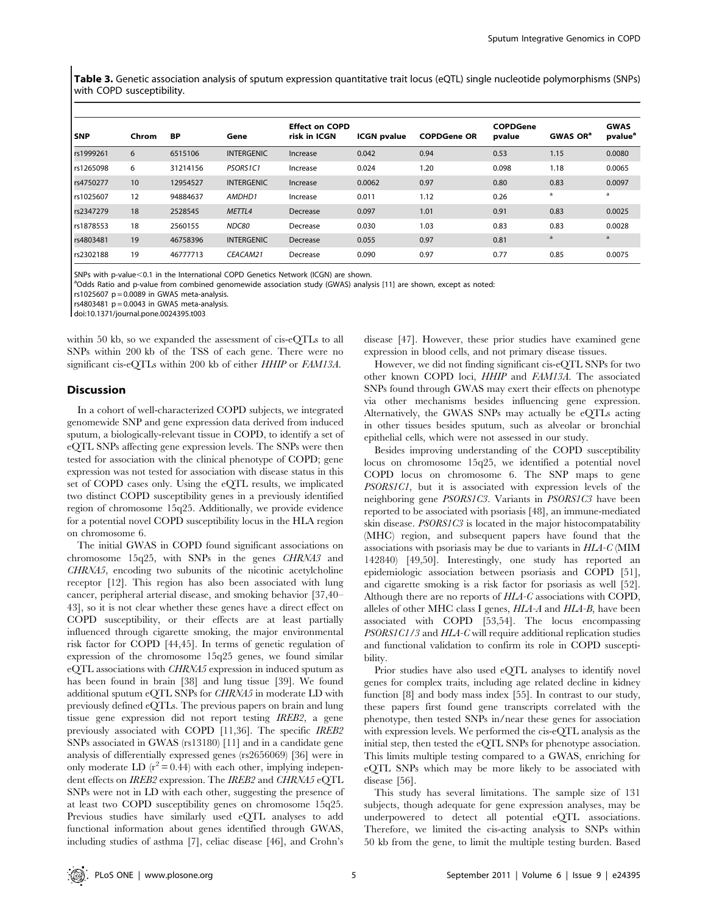Table 3. Genetic association analysis of sputum expression quantitative trait locus (eQTL) single nucleotide polymorphisms (SNPs) with COPD susceptibility.

| l SNP     | Chrom | <b>BP</b> | Gene              | <b>Effect on COPD</b><br>risk in ICGN | <b>ICGN</b> pvalue | <b>COPDGene OR</b> | <b>COPDGene</b><br>pvalue | <b>GWAS OR<sup>a</sup></b> | <b>GWAS</b><br>pvalue <sup>a</sup> |
|-----------|-------|-----------|-------------------|---------------------------------------|--------------------|--------------------|---------------------------|----------------------------|------------------------------------|
| rs1999261 | 6     | 6515106   | <b>INTERGENIC</b> | Increase                              | 0.042              | 0.94               | 0.53                      | 1.15                       | 0.0080                             |
| rs1265098 | 6     | 31214156  | PSORS1C1          | Increase                              | 0.024              | 1.20               | 0.098                     | 1.18                       | 0.0065                             |
| rs4750277 | 10    | 12954527  | <b>INTERGENIC</b> | Increase                              | 0.0062             | 0.97               | 0.80                      | 0.83                       | 0.0097                             |
| rs1025607 | 12    | 94884637  | AMDHD1            | Increase                              | 0.011              | 1.12               | 0.26                      | a                          | a                                  |
| rs2347279 | 18    | 2528545   | METTL4            | Decrease                              | 0.097              | 1.01               | 0.91                      | 0.83                       | 0.0025                             |
| rs1878553 | 18    | 2560155   | NDC80             | Decrease                              | 0.030              | 1.03               | 0.83                      | 0.83                       | 0.0028                             |
| rs4803481 | 19    | 46758396  | <b>INTERGENIC</b> | Decrease                              | 0.055              | 0.97               | 0.81                      | a                          | a                                  |
| rs2302188 | 19    | 46777713  | CEACAM21          | Decrease                              | 0.090              | 0.97               | 0.77                      | 0.85                       | 0.0075                             |

SNPs with p-value $<$ 0.1 in the International COPD Genetics Network (ICGN) are shown.

<sup>a</sup>Odds Ratio and p-value from combined genomewide association study (GWAS) analysis [11] are shown, except as noted:

 $rs1025607$   $p = 0.0089$  in GWAS meta-analysis.

 $rs4803481$   $p = 0.0043$  in GWAS meta-analysis.

doi:10.1371/journal.pone.0024395.t003

within 50 kb, so we expanded the assessment of cis-eQTLs to all SNPs within 200 kb of the TSS of each gene. There were no significant cis-eQTLs within 200 kb of either *HHIP* or *FAM13A*.

# **Discussion**

In a cohort of well-characterized COPD subjects, we integrated genomewide SNP and gene expression data derived from induced sputum, a biologically-relevant tissue in COPD, to identify a set of eQTL SNPs affecting gene expression levels. The SNPs were then tested for association with the clinical phenotype of COPD; gene expression was not tested for association with disease status in this set of COPD cases only. Using the eQTL results, we implicated two distinct COPD susceptibility genes in a previously identified region of chromosome 15q25. Additionally, we provide evidence for a potential novel COPD susceptibility locus in the HLA region on chromosome 6.

The initial GWAS in COPD found significant associations on chromosome 15q25, with SNPs in the genes CHRNA3 and CHRNA5, encoding two subunits of the nicotinic acetylcholine receptor [12]. This region has also been associated with lung cancer, peripheral arterial disease, and smoking behavior [37,40– 43], so it is not clear whether these genes have a direct effect on COPD susceptibility, or their effects are at least partially influenced through cigarette smoking, the major environmental risk factor for COPD [44,45]. In terms of genetic regulation of expression of the chromosome 15q25 genes, we found similar eQTL associations with *CHRNA5* expression in induced sputum as has been found in brain [38] and lung tissue [39]. We found additional sputum eQTL SNPs for CHRNA5 in moderate LD with previously defined eQTLs. The previous papers on brain and lung tissue gene expression did not report testing IREB2, a gene previously associated with COPD [11,36]. The specific IREB2 SNPs associated in GWAS (rs13180) [11] and in a candidate gene analysis of differentially expressed genes (rs2656069) [36] were in only moderate LD  $(r^2 = 0.44)$  with each other, implying independent effects on *IREB2* expression. The *IREB2* and *CHRNA5* eQTL SNPs were not in LD with each other, suggesting the presence of at least two COPD susceptibility genes on chromosome 15q25. Previous studies have similarly used eQTL analyses to add functional information about genes identified through GWAS, including studies of asthma [7], celiac disease [46], and Crohn's

disease [47]. However, these prior studies have examined gene expression in blood cells, and not primary disease tissues.

However, we did not finding significant cis-eQTL SNPs for two other known COPD loci, HHIP and FAM13A. The associated SNPs found through GWAS may exert their effects on phenotype via other mechanisms besides influencing gene expression. Alternatively, the GWAS SNPs may actually be eQTLs acting in other tissues besides sputum, such as alveolar or bronchial epithelial cells, which were not assessed in our study.

Besides improving understanding of the COPD susceptibility locus on chromosome 15q25, we identified a potential novel COPD locus on chromosome 6. The SNP maps to gene PSORS1C1, but it is associated with expression levels of the neighboring gene PSORS1C3. Variants in PSORS1C3 have been reported to be associated with psoriasis [48], an immune-mediated skin disease. PSORS1C3 is located in the major histocompatability (MHC) region, and subsequent papers have found that the associations with psoriasis may be due to variants in HLA-C (MIM 142840) [49,50]. Interestingly, one study has reported an epidemiologic association between psoriasis and COPD [51], and cigarette smoking is a risk factor for psoriasis as well [52]. Although there are no reports of HLA-C associations with COPD, alleles of other MHC class I genes, HLA-A and HLA-B, have been associated with COPD [53,54]. The locus encompassing PSORS1C1/3 and HLA-C will require additional replication studies and functional validation to confirm its role in COPD susceptibility.

Prior studies have also used eQTL analyses to identify novel genes for complex traits, including age related decline in kidney function [8] and body mass index [55]. In contrast to our study, these papers first found gene transcripts correlated with the phenotype, then tested SNPs in/near these genes for association with expression levels. We performed the cis-eQTL analysis as the initial step, then tested the eQTL SNPs for phenotype association. This limits multiple testing compared to a GWAS, enriching for eQTL SNPs which may be more likely to be associated with disease [56].

This study has several limitations. The sample size of 131 subjects, though adequate for gene expression analyses, may be underpowered to detect all potential eQTL associations. Therefore, we limited the cis-acting analysis to SNPs within 50 kb from the gene, to limit the multiple testing burden. Based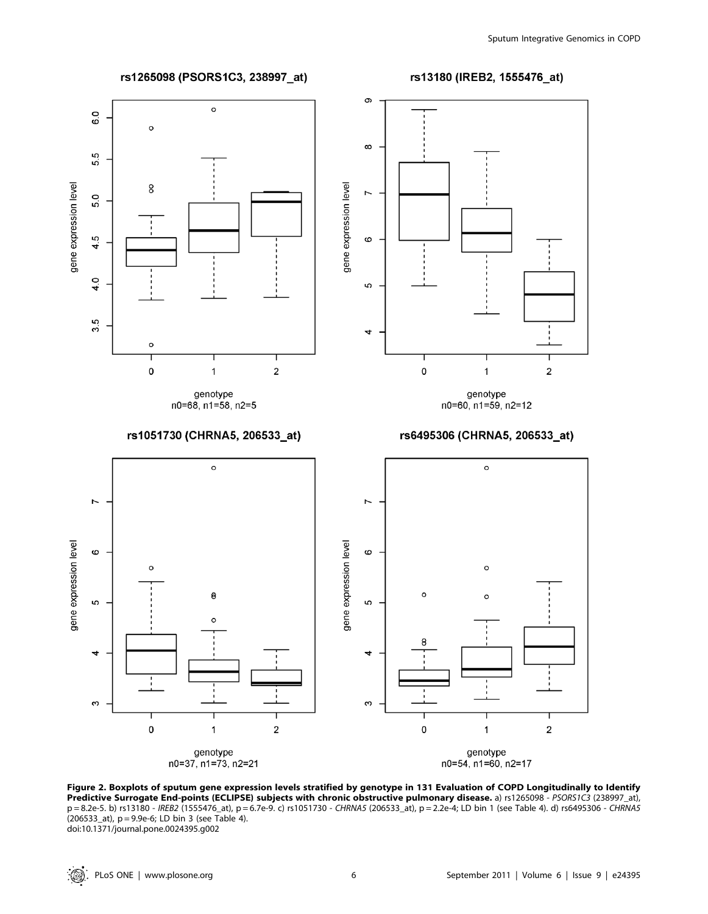

Figure 2. Boxplots of sputum gene expression levels stratified by genotype in 131 Evaluation of COPD Longitudinally to Identify Predictive Surrogate End-points (ECLIPSE) subjects with chronic obstructive pulmonary disease. a) rs1265098 - PSORS1C3 (238997\_at), p = 8.2e-5. b) rs13180 - IREB2 (1555476\_at), p = 6.7e-9. c) rs1051730 - CHRNA5 (206533\_at), p = 2.2e-4; LD bin 1 (see Table 4). d) rs6495306 - CHRNA5 (206533\_at), p = 9.9e-6; LD bin 3 (see Table 4). doi:10.1371/journal.pone.0024395.g002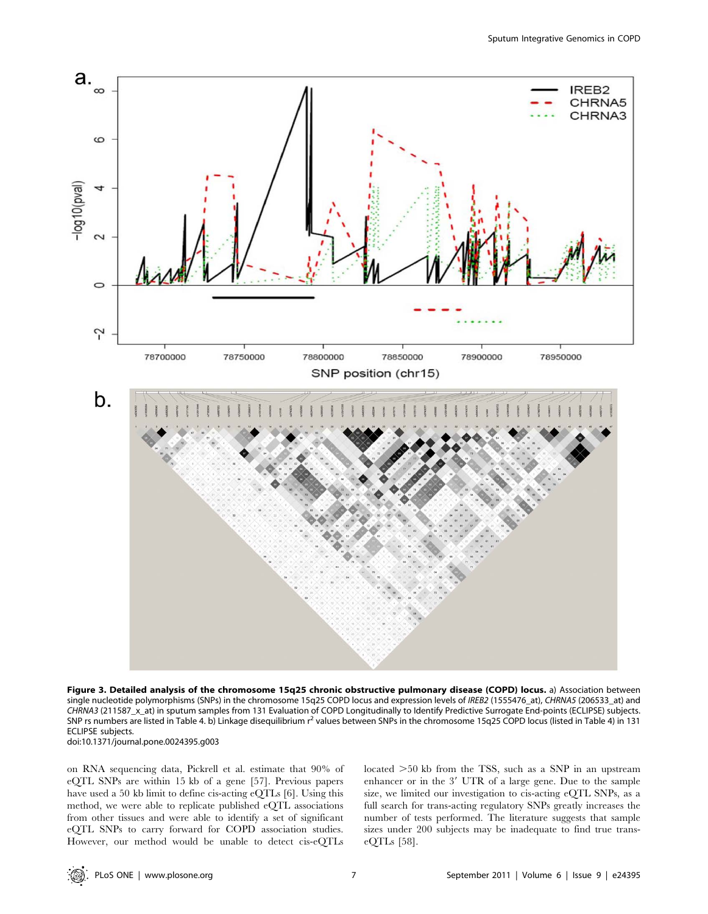

Figure 3. Detailed analysis of the chromosome 15q25 chronic obstructive pulmonary disease (COPD) locus. a) Association between single nucleotide polymorphisms (SNPs) in the chromosome 15q25 COPD locus and expression levels of IREB2 (1555476\_at), CHRNA5 (206533\_at) and CHRNA3 (211587\_x\_at) in sputum samples from 131 Evaluation of COPD Longitudinally to Identify Predictive Surrogate End-points (ECLIPSE) subjects. SNP rs numbers are listed in Table 4. b) Linkage disequilibrium  $r^2$  values between SNPs in the chromosome 15q25 COPD locus (listed in Table 4) in 131 ECLIPSE subjects.

doi:10.1371/journal.pone.0024395.g003

on RNA sequencing data, Pickrell et al. estimate that 90% of eQTL SNPs are within 15 kb of a gene [57]. Previous papers have used a 50 kb limit to define cis-acting eQTLs [6]. Using this method, we were able to replicate published eQTL associations from other tissues and were able to identify a set of significant eQTL SNPs to carry forward for COPD association studies. However, our method would be unable to detect cis-eQTLs located  $>50$  kb from the TSS, such as a SNP in an upstream enhancer or in the 3' UTR of a large gene. Due to the sample size, we limited our investigation to cis-acting eQTL SNPs, as a full search for trans-acting regulatory SNPs greatly increases the number of tests performed. The literature suggests that sample sizes under 200 subjects may be inadequate to find true transeQTLs [58].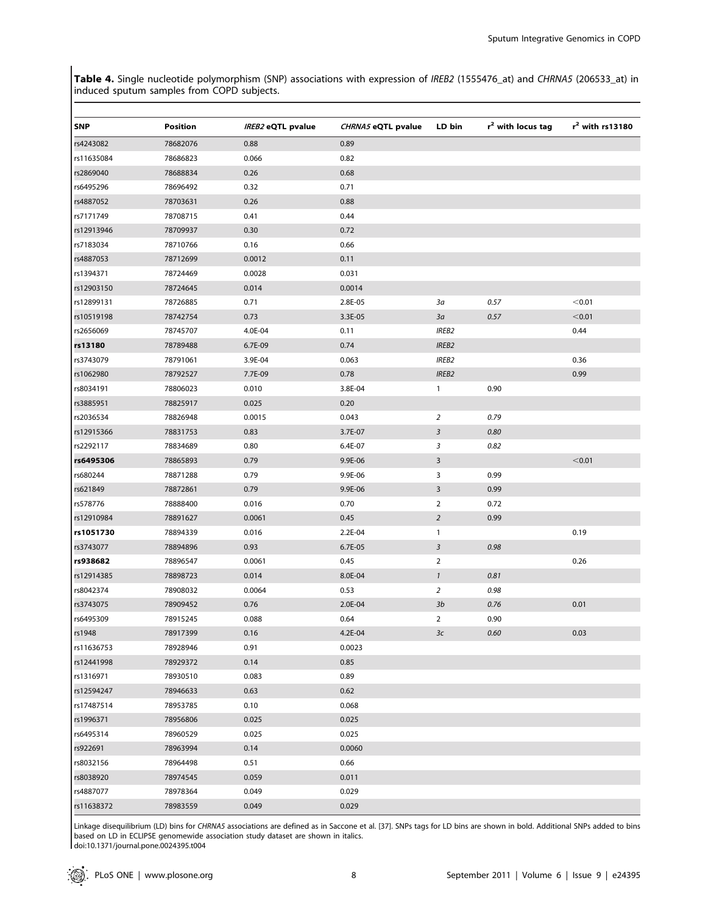Table 4. Single nucleotide polymorphism (SNP) associations with expression of IREB2 (1555476\_at) and CHRNA5 (206533\_at) in induced sputum samples from COPD subjects.

| <b>SNP</b> | Position | <b>IREB2 eQTL pvalue</b> | CHRNA5 eQTL pvalue | LD bin            | r <sup>2</sup> with locus tag | $r^2$ with rs13180 |
|------------|----------|--------------------------|--------------------|-------------------|-------------------------------|--------------------|
| rs4243082  | 78682076 | 0.88                     | 0.89               |                   |                               |                    |
| rs11635084 | 78686823 | 0.066                    | 0.82               |                   |                               |                    |
| rs2869040  | 78688834 | 0.26                     | 0.68               |                   |                               |                    |
| rs6495296  | 78696492 | 0.32                     | 0.71               |                   |                               |                    |
| rs4887052  | 78703631 | 0.26                     | 0.88               |                   |                               |                    |
| rs7171749  | 78708715 | 0.41                     | 0.44               |                   |                               |                    |
| rs12913946 | 78709937 | 0.30                     | 0.72               |                   |                               |                    |
| rs7183034  | 78710766 | 0.16                     | 0.66               |                   |                               |                    |
| rs4887053  | 78712699 | 0.0012                   | 0.11               |                   |                               |                    |
| rs1394371  | 78724469 | 0.0028                   | 0.031              |                   |                               |                    |
| rs12903150 | 78724645 | 0.014                    | 0.0014             |                   |                               |                    |
| rs12899131 | 78726885 | 0.71                     | 2.8E-05            | За                | 0.57                          | < 0.01             |
| rs10519198 | 78742754 | 0.73                     | 3.3E-05            | 3a                | 0.57                          | < 0.01             |
| rs2656069  | 78745707 | 4.0E-04                  | 0.11               | IREB <sub>2</sub> |                               | 0.44               |
| rs13180    | 78789488 | 6.7E-09                  | 0.74               | IREB <sub>2</sub> |                               |                    |
| rs3743079  | 78791061 | 3.9E-04                  | 0.063              | IREB <sub>2</sub> |                               | 0.36               |
| rs1062980  | 78792527 | 7.7E-09                  | 0.78               | IREB <sub>2</sub> |                               | 0.99               |
| rs8034191  | 78806023 | 0.010                    | 3.8E-04            | $\mathbf{1}$      | 0.90                          |                    |
| rs3885951  | 78825917 | 0.025                    | 0.20               |                   |                               |                    |
| rs2036534  | 78826948 | 0.0015                   | 0.043              | 2                 | 0.79                          |                    |
| rs12915366 | 78831753 | 0.83                     | 3.7E-07            | $\mathfrak{Z}$    | 0.80                          |                    |
| rs2292117  | 78834689 | 0.80                     | 6.4E-07            | 3                 | 0.82                          |                    |
| rs6495306  | 78865893 | 0.79                     | 9.9E-06            | $\mathsf{3}$      |                               | < 0.01             |
| rs680244   | 78871288 | 0.79                     | 9.9E-06            | 3                 | 0.99                          |                    |
| rs621849   | 78872861 | 0.79                     | 9.9E-06            | $\mathsf{3}$      | 0.99                          |                    |
| rs578776   | 78888400 | 0.016                    | 0.70               | $\overline{2}$    | 0.72                          |                    |
| rs12910984 | 78891627 | 0.0061                   | 0.45               | $\overline{a}$    | 0.99                          |                    |
| rs1051730  | 78894339 | 0.016                    | 2.2E-04            | $\mathbf{1}$      |                               | 0.19               |
| rs3743077  | 78894896 | 0.93                     | 6.7E-05            | $\mathbf{3}$      | 0.98                          |                    |
| rs938682   | 78896547 | 0.0061                   | 0.45               | $\overline{2}$    |                               | 0.26               |
| rs12914385 | 78898723 | 0.014                    | 8.0E-04            | $\mathbf{1}$      | 0.81                          |                    |
| rs8042374  | 78908032 | 0.0064                   | 0.53               | $\overline{a}$    | 0.98                          |                    |
| rs3743075  | 78909452 | 0.76                     | 2.0E-04            | 3 <sub>b</sub>    | 0.76                          | 0.01               |
| rs6495309  | 78915245 | 0.088                    | 0.64               | $\overline{2}$    | 0.90                          |                    |
| rs1948     | 78917399 | 0.16                     | 4.2E-04            | 3c                | 0.60                          | 0.03               |
| rs11636753 | 78928946 | 0.91                     | 0.0023             |                   |                               |                    |
| rs12441998 | 78929372 | 0.14                     | 0.85               |                   |                               |                    |
| rs1316971  | 78930510 | 0.083                    | 0.89               |                   |                               |                    |
| rs12594247 | 78946633 | 0.63                     | 0.62               |                   |                               |                    |
| rs17487514 | 78953785 | 0.10                     | 0.068              |                   |                               |                    |
| rs1996371  | 78956806 | 0.025                    | 0.025              |                   |                               |                    |
| rs6495314  | 78960529 | 0.025                    | 0.025              |                   |                               |                    |
| rs922691   | 78963994 | 0.14                     | 0.0060             |                   |                               |                    |
| rs8032156  | 78964498 | 0.51                     | 0.66               |                   |                               |                    |
| rs8038920  | 78974545 | 0.059                    | 0.011              |                   |                               |                    |
| rs4887077  | 78978364 | 0.049                    | 0.029              |                   |                               |                    |
| rs11638372 | 78983559 | 0.049                    | 0.029              |                   |                               |                    |

Linkage disequilibrium (LD) bins for CHRNA5 associations are defined as in Saccone et al. [37]. SNPs tags for LD bins are shown in bold. Additional SNPs added to bins based on LD in ECLIPSE genomewide association study dataset are shown in italics.

doi:10.1371/journal.pone.0024395.t004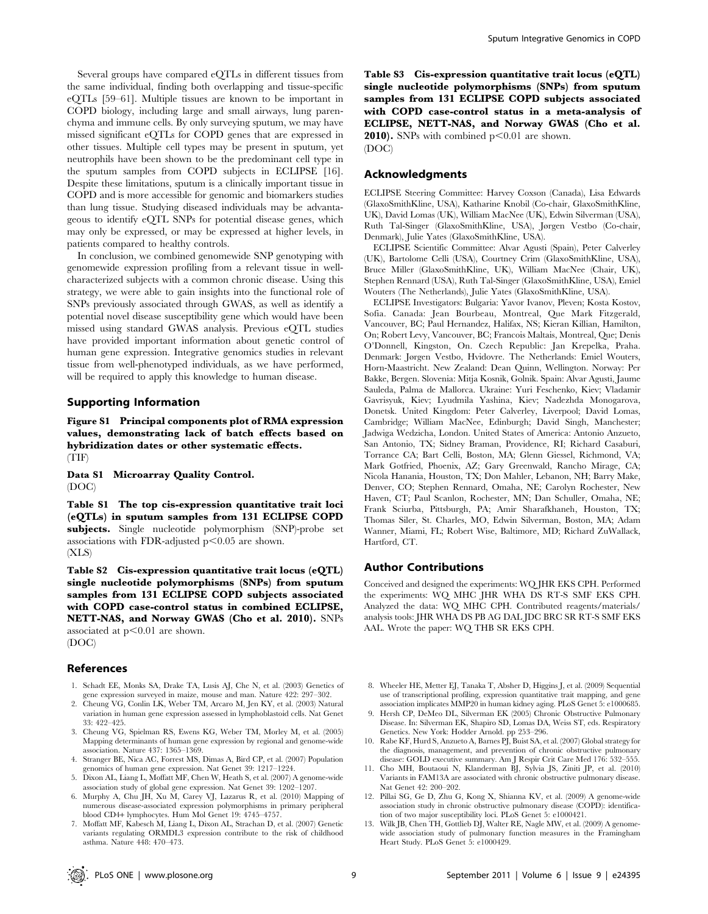Several groups have compared eQTLs in different tissues from the same individual, finding both overlapping and tissue-specific eQTLs [59–61]. Multiple tissues are known to be important in COPD biology, including large and small airways, lung parenchyma and immune cells. By only surveying sputum, we may have missed significant eQTLs for COPD genes that are expressed in other tissues. Multiple cell types may be present in sputum, yet neutrophils have been shown to be the predominant cell type in the sputum samples from COPD subjects in ECLIPSE [16]. Despite these limitations, sputum is a clinically important tissue in COPD and is more accessible for genomic and biomarkers studies than lung tissue. Studying diseased individuals may be advantageous to identify eQTL SNPs for potential disease genes, which may only be expressed, or may be expressed at higher levels, in patients compared to healthy controls.

In conclusion, we combined genomewide SNP genotyping with genomewide expression profiling from a relevant tissue in wellcharacterized subjects with a common chronic disease. Using this strategy, we were able to gain insights into the functional role of SNPs previously associated through GWAS, as well as identify a potential novel disease susceptibility gene which would have been missed using standard GWAS analysis. Previous eQTL studies have provided important information about genetic control of human gene expression. Integrative genomics studies in relevant tissue from well-phenotyped individuals, as we have performed, will be required to apply this knowledge to human disease.

# Supporting Information

Figure S1 Principal components plot of RMA expression values, demonstrating lack of batch effects based on hybridization dates or other systematic effects. (TIF)

Data S1 Microarray Quality Control. (DOC)

Table S1 The top cis-expression quantitative trait loci (eQTLs) in sputum samples from 131 ECLIPSE COPD subjects. Single nucleotide polymorphism (SNP)-probe set associations with FDR-adjusted  $p<0.05$  are shown. (XLS)

Table S2 Cis-expression quantitative trait locus (eQTL) single nucleotide polymorphisms (SNPs) from sputum samples from 131 ECLIPSE COPD subjects associated with COPD case-control status in combined ECLIPSE, NETT-NAS, and Norway GWAS (Cho et al. 2010). SNPs associated at  $p<0.01$  are shown. (DOC)

### References

- 1. Schadt EE, Monks SA, Drake TA, Lusis AJ, Che N, et al. (2003) Genetics of gene expression surveyed in maize, mouse and man. Nature 422: 297–302.
- 2. Cheung VG, Conlin LK, Weber TM, Arcaro M, Jen KY, et al. (2003) Natural variation in human gene expression assessed in lymphoblastoid cells. Nat Genet 33: 422–425.
- 3. Cheung VG, Spielman RS, Ewens KG, Weber TM, Morley M, et al. (2005) Mapping determinants of human gene expression by regional and genome-wide association. Nature 437: 1365–1369.
- 4. Stranger BE, Nica AC, Forrest MS, Dimas A, Bird CP, et al. (2007) Population genomics of human gene expression. Nat Genet 39: 1217–1224.
- 5. Dixon AL, Liang L, Moffatt MF, Chen W, Heath S, et al. (2007) A genome-wide association study of global gene expression. Nat Genet 39: 1202–1207.
- 6. Murphy A, Chu JH, Xu M, Carey VJ, Lazarus R, et al. (2010) Mapping of numerous disease-associated expression polymorphisms in primary peripheral blood CD4+ lymphocytes. Hum Mol Genet 19: 4745–4757.
- 7. Moffatt MF, Kabesch M, Liang L, Dixon AL, Strachan D, et al. (2007) Genetic variants regulating ORMDL3 expression contribute to the risk of childhood asthma. Nature 448: 470–473.

Table S3 Cis-expression quantitative trait locus (eQTL) single nucleotide polymorphisms (SNPs) from sputum samples from 131 ECLIPSE COPD subjects associated with COPD case-control status in a meta-analysis of ECLIPSE, NETT-NAS, and Norway GWAS (Cho et al. **2010).** SNPs with combined  $p<0.01$  are shown.

(DOC)

#### Acknowledgments

ECLIPSE Steering Committee: Harvey Coxson (Canada), Lisa Edwards (GlaxoSmithKline, USA), Katharine Knobil (Co-chair, GlaxoSmithKline, UK), David Lomas (UK), William MacNee (UK), Edwin Silverman (USA), Ruth Tal-Singer (GlaxoSmithKline, USA), Jørgen Vestbo (Co-chair, Denmark), Julie Yates (GlaxoSmithKline, USA).

ECLIPSE Scientific Committee: Alvar Agusti (Spain), Peter Calverley (UK), Bartolome Celli (USA), Courtney Crim (GlaxoSmithKline, USA), Bruce Miller (GlaxoSmithKline, UK), William MacNee (Chair, UK), Stephen Rennard (USA), Ruth Tal-Singer (GlaxoSmithKline, USA), Emiel Wouters (The Netherlands), Julie Yates (GlaxoSmithKline, USA).

ECLIPSE Investigators: Bulgaria: Yavor Ivanov, Pleven; Kosta Kostov, Sofia. Canada: Jean Bourbeau, Montreal, Que Mark Fitzgerald, Vancouver, BC; Paul Hernandez, Halifax, NS; Kieran Killian, Hamilton, On; Robert Levy, Vancouver, BC; Francois Maltais, Montreal, Que; Denis O'Donnell, Kingston, On. Czech Republic: Jan Krepelka, Praha. Denmark: Jørgen Vestbo, Hvidovre. The Netherlands: Emiel Wouters, Horn-Maastricht. New Zealand: Dean Quinn, Wellington. Norway: Per Bakke, Bergen. Slovenia: Mitja Kosnik, Golnik. Spain: Alvar Agusti, Jaume Sauleda, Palma de Mallorca. Ukraine: Yuri Feschenko, Kiev; Vladamir Gavrisyuk, Kiev; Lyudmila Yashina, Kiev; Nadezhda Monogarova, Donetsk. United Kingdom: Peter Calverley, Liverpool; David Lomas, Cambridge; William MacNee, Edinburgh; David Singh, Manchester; Jadwiga Wedzicha, London. United States of America: Antonio Anzueto, San Antonio, TX; Sidney Braman, Providence, RI; Richard Casaburi, Torrance CA; Bart Celli, Boston, MA; Glenn Giessel, Richmond, VA; Mark Gotfried, Phoenix, AZ; Gary Greenwald, Rancho Mirage, CA; Nicola Hanania, Houston, TX; Don Mahler, Lebanon, NH; Barry Make, Denver, CO; Stephen Rennard, Omaha, NE; Carolyn Rochester, New Haven, CT; Paul Scanlon, Rochester, MN; Dan Schuller, Omaha, NE; Frank Sciurba, Pittsburgh, PA; Amir Sharafkhaneh, Houston, TX; Thomas Siler, St. Charles, MO, Edwin Silverman, Boston, MA; Adam Wanner, Miami, FL; Robert Wise, Baltimore, MD; Richard ZuWallack, Hartford, CT.

# Author Contributions

Conceived and designed the experiments: WQ JHR EKS CPH. Performed the experiments: WQ MHC JHR WHA DS RT-S SMF EKS CPH. Analyzed the data: WQ MHC CPH. Contributed reagents/materials/ analysis tools: JHR WHA DS PB AG DAL JDC BRC SR RT-S SMF EKS AAL. Wrote the paper: WQ THB SR EKS CPH.

- 8. Wheeler HE, Metter EJ, Tanaka T, Absher D, Higgins J, et al. (2009) Sequential use of transcriptional profiling, expression quantitative trait mapping, and gene association implicates MMP20 in human kidney aging. PLoS Genet 5: e1000685.
- 9. Hersh CP, DeMeo DL, Silverman EK (2005) Chronic Obstructive Pulmonary Disease. In: Silverman EK, Shapiro SD, Lomas DA, Weiss ST, eds. Respiratory Genetics. New York: Hodder Arnold. pp 253–296.
- 10. Rabe KF, Hurd S, Anzueto A, Barnes PJ, Buist SA, et al. (2007) Global strategy for the diagnosis, management, and prevention of chronic obstructive pulmonary disease: GOLD executive summary. Am J Respir Crit Care Med 176: 532–555.
- 11. Cho MH, Boutaoui N, Klanderman BJ, Sylvia JS, Ziniti JP, et al. (2010) Variants in FAM13A are associated with chronic obstructive pulmonary disease. Nat Genet 42: 200–202.
- 12. Pillai SG, Ge D, Zhu G, Kong X, Shianna KV, et al. (2009) A genome-wide association study in chronic obstructive pulmonary disease (COPD): identification of two major susceptibility loci. PLoS Genet 5: e1000421.
- 13. Wilk JB, Chen TH, Gottlieb DJ, Walter RE, Nagle MW, et al. (2009) A genomewide association study of pulmonary function measures in the Framingham Heart Study. PLoS Genet 5: e1000429.